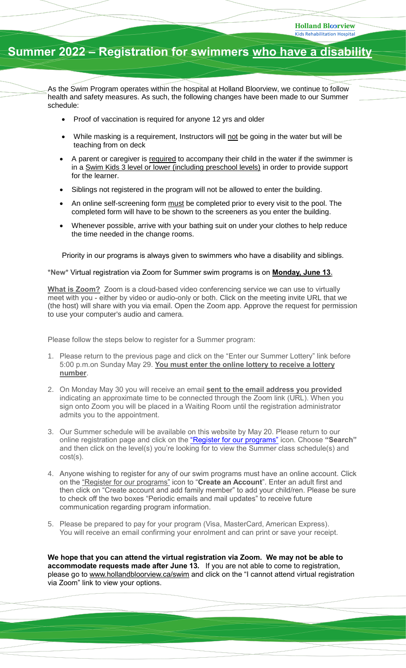## **Summer 2022 – Registration for swimmers who have a disability**

As the Swim Program operates within the hospital at Holland Bloorview, we continue to follow health and safety measures. As such, the following changes have been made to our Summer schedule:

- Proof of vaccination is required for anyone 12 yrs and older
- While masking is a requirement, Instructors will not be going in the water but will be teaching from on deck
- A parent or caregiver is required to accompany their child in the water if the swimmer is in a Swim Kids 3 level or lower (including preschool levels) in order to provide support for the learner.
- Siblings not registered in the program will not be allowed to enter the building.
- An online self-screening form must be completed prior to every visit to the pool. The completed form will have to be shown to the screeners as you enter the building.
- Whenever possible, arrive with your bathing suit on under your clothes to help reduce the time needed in the change rooms.

Priority in our programs is always given to swimmers who have a disability and siblings.

## **\*New\*** Virtual registration via Zoom for Summer swim programs is on **Monday, June 13.**

**What is Zoom?** Zoom is a cloud-based video conferencing service we can use to virtually meet with you - either by video or audio-only or both. Click on the meeting invite URL that we (the host) will share with you via email. Open the Zoom app. Approve the request for permission to use your computer's audio and camera.

Please follow the steps below to register for a Summer program:

- 1. Please return to the previous page and click on the "Enter our Summer Lottery" link before 5:00 p.m.on Sunday May 29. **You must enter the online lottery to receive a lottery number**.
- 2. On Monday May 30 you will receive an email **sent to the email address you provided** indicating an approximate time to be connected through the Zoom link (URL). When you sign onto Zoom you will be placed in a Waiting Room until the registration administrator admits you to the appointment.
- 3. Our Summer schedule will be available on this website by May 20. Please return to our online registration page and click on the ["Register for our programs"](https://activenet2ca.active.com/hollandbloorview/) icon. Choose **"Search"** and then click on the level(s) you're looking for to view the Summer class schedule(s) and cost(s).
- 4. Anyone wishing to register for any of our swim programs must have an online account. Click on the ["Register for our programs"](https://activenet004ca.active.com/hollandbloorview/) icon to "**Create an Account**". Enter an adult first and then click on "Create account and add family member" to add your child/ren. Please be sure to check off the two boxes "Periodic emails and mail updates" to receive future communication regarding program information.
- 5. Please be prepared to pay for your program (Visa, MasterCard, American Express). You will receive an email confirming your enrolment and can print or save your receipt.

**We hope that you can attend the virtual registration via Zoom. We may not be able to accommodate requests made after June 13.** If you are not able to come to registration, please go to [www.hollandbloorview.ca/swim](http://www.hollandbloorview.ca/swim) and click on the "I cannot attend virtual registration via Zoom" link to view your options.